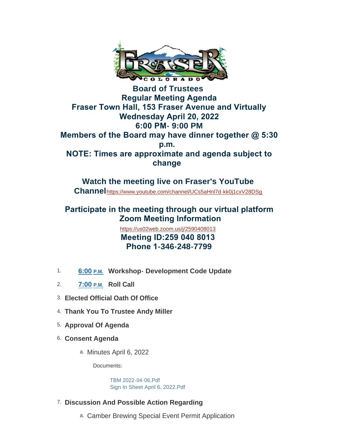

**Board of Trustees Regular Meeting Agenda Fraser Town Hall, 153 Fraser Avenue and Virtually Wednesday April 20, 2022 6:00 PM- 9:00 PM Members of the Board may have dinner together @ 5:30 p.m. NOTE: Times are approximate and agenda subject to change** 

**Watch the meeting live on Fraser's YouTube Channel**<https://www.youtube.com/channel/UCs5aHnl7d-kk0j1cxV28DSg>

## **Participate in the meeting through our virtual platform Zoom Meeting Information**

<https://us02web.zoom.us/j/2590408013>  **Meeting ID:259 040 8013 Phone 1-346-248-7799**

- 1. 6:00 **P.M.** Workshop-Development Code Update
- **Roll Call** 2. **7:00 P.M.**
- **Elected Official Oath Of Office** 3.
- **Thank You To Trustee Andy Miller** 4.
- **Approval Of Agenda** 5.
- **Consent Agenda** 6.
	- a. Minutes April 6, 2022

Documents:

[TBM 2022-04-06.Pdf](https://www.frasercolorado.com/AgendaCenter/ViewFile/Item/4080?fileID=3615) [Sign In Sheet April 6, 2022.Pdf](https://www.frasercolorado.com/AgendaCenter/ViewFile/Item/4080?fileID=3616)

- **Discussion And Possible Action Regarding** 7.
	- a. Camber Brewing Special Event Permit Application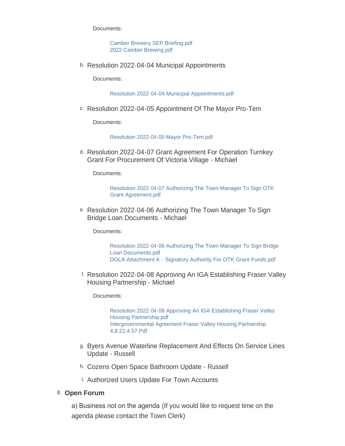Documents:

[Camber Brewery SEP Briefing.pdf](https://www.frasercolorado.com/AgendaCenter/ViewFile/Item/4079?fileID=3620) [2022 Camber Brewing.pdf](https://www.frasercolorado.com/AgendaCenter/ViewFile/Item/4079?fileID=3621)

b. Resolution 2022-04-04 Municipal Appointments

Documents:

[Resolution 2022-04-04 Municipal Appointments.pdf](https://www.frasercolorado.com/AgendaCenter/ViewFile/Item/4073?fileID=3607)

c. Resolution 2022-04-05 Appointment Of The Mayor Pro-Tem

Documents:

[Resolution 2022-04-05 Mayor Pro-Tem.pdf](https://www.frasercolorado.com/AgendaCenter/ViewFile/Item/4072?fileID=3606)

d. Resolution 2022-04-07 Grant Agreement For Operation Turnkey Grant For Procurement Of Victoria Village - Michael

Documents:

[Resolution 2022-04-07 Authorizing The Town Manager To Sign OTK](https://www.frasercolorado.com/AgendaCenter/ViewFile/Item/4076?fileID=3613)  Grant Agreement.pdf

e. Resolution 2022-04-06 Authorizing The Town Manager To Sign Bridge Loan Documents - Michael

Documents:

[Resolution 2022-04-06 Authorizing The Town Manager To Sign Bridge](https://www.frasercolorado.com/AgendaCenter/ViewFile/Item/4082?fileID=3622)  Loan Documents.pdf [DOLA Attachment K - Signatory Authority For OTK Grant Funds.pdf](https://www.frasercolorado.com/AgendaCenter/ViewFile/Item/4082?fileID=3623)

f. Resolution 2022-04-08 Approving An IGA Establishing Fraser Valley Housing Partnership - Michael

Documents:

[Resolution 2022-04-08 Approving An IGA Establishing Fraser Valley](https://www.frasercolorado.com/AgendaCenter/ViewFile/Item/4077?fileID=3614)  Housing Partnership.pdf [Intergovernmental Agreement Fraser Valley Housing Partnership](https://www.frasercolorado.com/AgendaCenter/ViewFile/Item/4077?fileID=3610)  4.8.22.4.57.Pdf

- g. Byers Avenue Waterline Replacement And Effects On Service Lines Update - Russell
- h. Cozens Open Space Bathroom Update Russell
- i. Authorized Users Update For Town Accounts

#### 8. Open Forum

a) Business not on the agenda (If you would like to request time on the agenda please contact the Town Clerk)